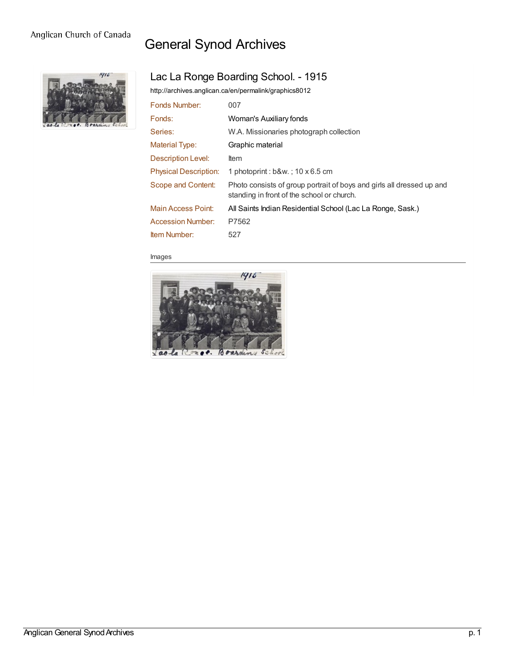### Anglican Church of Canada

# General Synod Archives



# Lac La Ronge Boarding School. - 1915

<http://archives.anglican.ca/en/permalink/graphics8012>

| 007                                                                                                                 |
|---------------------------------------------------------------------------------------------------------------------|
| Woman's Auxiliary fonds                                                                                             |
| W.A. Missionaries photograph collection                                                                             |
| Graphic material                                                                                                    |
| <b>Item</b>                                                                                                         |
| 1 photoprint : $b$ &w. 10 x 6.5 cm                                                                                  |
| Photo consists of group portrait of boys and girls all dressed up and<br>standing in front of the school or church. |
| All Saints Indian Residential School (Lac La Ronge, Sask.)                                                          |
| P7562                                                                                                               |
| 527                                                                                                                 |
|                                                                                                                     |

#### Images



Anglican General Synod Archives p. 1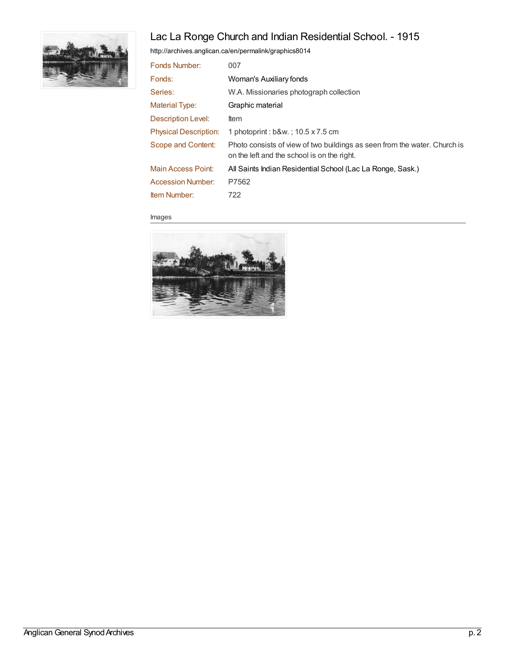# Lac La Ronge Church and Indian Residential School. - 1915



<http://archives.anglican.ca/en/permalink/graphics8014>

| 007                                                                                                                      |
|--------------------------------------------------------------------------------------------------------------------------|
| Woman's Auxiliary fonds                                                                                                  |
| W.A. Missionaries photograph collection                                                                                  |
| Graphic material                                                                                                         |
| <b>Item</b>                                                                                                              |
| 1 photoprint : b&w. : 10.5 x 7.5 cm                                                                                      |
| Photo consists of view of two buildings as seen from the water. Church is<br>on the left and the school is on the right. |
| All Saints Indian Residential School (Lac La Ronge, Sask.)                                                               |
| P7562                                                                                                                    |
| 722                                                                                                                      |
|                                                                                                                          |

Images